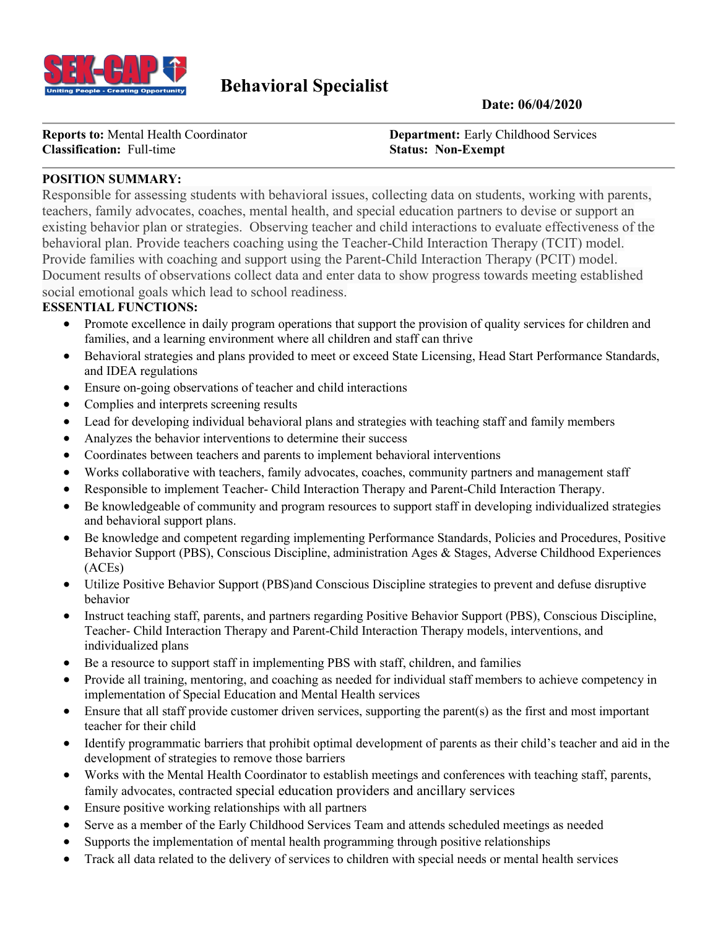

# **Behavioral Specialist** Date: 06/04/2020

**Classification:** Full-time **Status: Status: Non-Exempt** 

**Reports to:** Mental Health Coordinator **Department:** Early Childhood Services

#### **POSITION SUMMARY:**

Responsible for assessing students with behavioral issues, collecting data on students, working with parents, teachers, family advocates, coaches, mental health, and special education partners to devise or support an existing behavior plan or strategies. Observing teacher and child interactions to evaluate effectiveness of the behavioral plan. Provide teachers coaching using the Teacher-Child Interaction Therapy (TCIT) model. Provide families with coaching and support using the Parent-Child Interaction Therapy (PCIT) model. Document results of observations collect data and enter data to show progress towards meeting established social emotional goals which lead to school readiness.

#### **ESSENTIAL FUNCTIONS:**

- Promote excellence in daily program operations that support the provision of quality services for children and families, and a learning environment where all children and staff can thrive
- Behavioral strategies and plans provided to meet or exceed State Licensing, Head Start Performance Standards, and IDEA regulations
- Ensure on-going observations of teacher and child interactions
- Complies and interprets screening results
- Lead for developing individual behavioral plans and strategies with teaching staff and family members
- Analyzes the behavior interventions to determine their success
- Coordinates between teachers and parents to implement behavioral interventions
- Works collaborative with teachers, family advocates, coaches, community partners and management staff
- Responsible to implement Teacher- Child Interaction Therapy and Parent-Child Interaction Therapy.
- Be knowledgeable of community and program resources to support staff in developing individualized strategies and behavioral support plans.
- Be knowledge and competent regarding implementing Performance Standards, Policies and Procedures, Positive Behavior Support (PBS), Conscious Discipline, administration Ages & Stages, Adverse Childhood Experiences (ACEs)
- Utilize Positive Behavior Support (PBS)and Conscious Discipline strategies to prevent and defuse disruptive behavior
- Instruct teaching staff, parents, and partners regarding Positive Behavior Support (PBS), Conscious Discipline, Teacher- Child Interaction Therapy and Parent-Child Interaction Therapy models, interventions, and individualized plans
- Be a resource to support staff in implementing PBS with staff, children, and families
- Provide all training, mentoring, and coaching as needed for individual staff members to achieve competency in implementation of Special Education and Mental Health services
- Ensure that all staff provide customer driven services, supporting the parent(s) as the first and most important teacher for their child
- Identify programmatic barriers that prohibit optimal development of parents as their child's teacher and aid in the development of strategies to remove those barriers
- Works with the Mental Health Coordinator to establish meetings and conferences with teaching staff, parents, family advocates, contracted special education providers and ancillary services
- Ensure positive working relationships with all partners
- Serve as a member of the Early Childhood Services Team and attends scheduled meetings as needed
- Supports the implementation of mental health programming through positive relationships
- Track all data related to the delivery of services to children with special needs or mental health services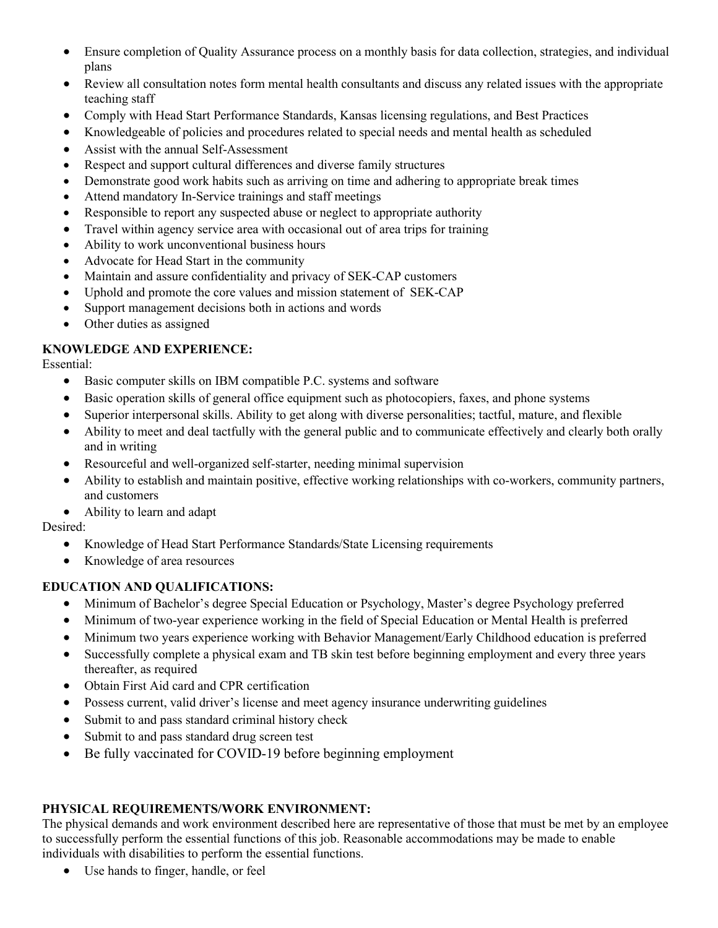- Ensure completion of Quality Assurance process on a monthly basis for data collection, strategies, and individual plans
- Review all consultation notes form mental health consultants and discuss any related issues with the appropriate teaching staff
- Comply with Head Start Performance Standards, Kansas licensing regulations, and Best Practices
- Knowledgeable of policies and procedures related to special needs and mental health as scheduled
- Assist with the annual Self-Assessment
- Respect and support cultural differences and diverse family structures
- Demonstrate good work habits such as arriving on time and adhering to appropriate break times
- Attend mandatory In-Service trainings and staff meetings
- Responsible to report any suspected abuse or neglect to appropriate authority
- Travel within agency service area with occasional out of area trips for training
- Ability to work unconventional business hours
- Advocate for Head Start in the community
- Maintain and assure confidentiality and privacy of SEK-CAP customers
- Uphold and promote the core values and mission statement of SEK-CAP
- Support management decisions both in actions and words
- Other duties as assigned

## **KNOWLEDGE AND EXPERIENCE:**

Essential:

- Basic computer skills on IBM compatible P.C. systems and software
- Basic operation skills of general office equipment such as photocopiers, faxes, and phone systems
- Superior interpersonal skills. Ability to get along with diverse personalities; tactful, mature, and flexible
- Ability to meet and deal tactfully with the general public and to communicate effectively and clearly both orally and in writing
- Resourceful and well-organized self-starter, needing minimal supervision
- Ability to establish and maintain positive, effective working relationships with co-workers, community partners, and customers
- Ability to learn and adapt

Desired:

- Knowledge of Head Start Performance Standards/State Licensing requirements
- Knowledge of area resources

## **EDUCATION AND QUALIFICATIONS:**

- Minimum of Bachelor's degree Special Education or Psychology, Master's degree Psychology preferred
- Minimum of two-year experience working in the field of Special Education or Mental Health is preferred
- Minimum two years experience working with Behavior Management/Early Childhood education is preferred
- Successfully complete a physical exam and TB skin test before beginning employment and every three years thereafter, as required
- Obtain First Aid card and CPR certification
- Possess current, valid driver's license and meet agency insurance underwriting guidelines
- Submit to and pass standard criminal history check
- Submit to and pass standard drug screen test
- Be fully vaccinated for COVID-19 before beginning employment

## **PHYSICAL REQUIREMENTS/WORK ENVIRONMENT:**

The physical demands and work environment described here are representative of those that must be met by an employee to successfully perform the essential functions of this job. Reasonable accommodations may be made to enable individuals with disabilities to perform the essential functions.

• Use hands to finger, handle, or feel